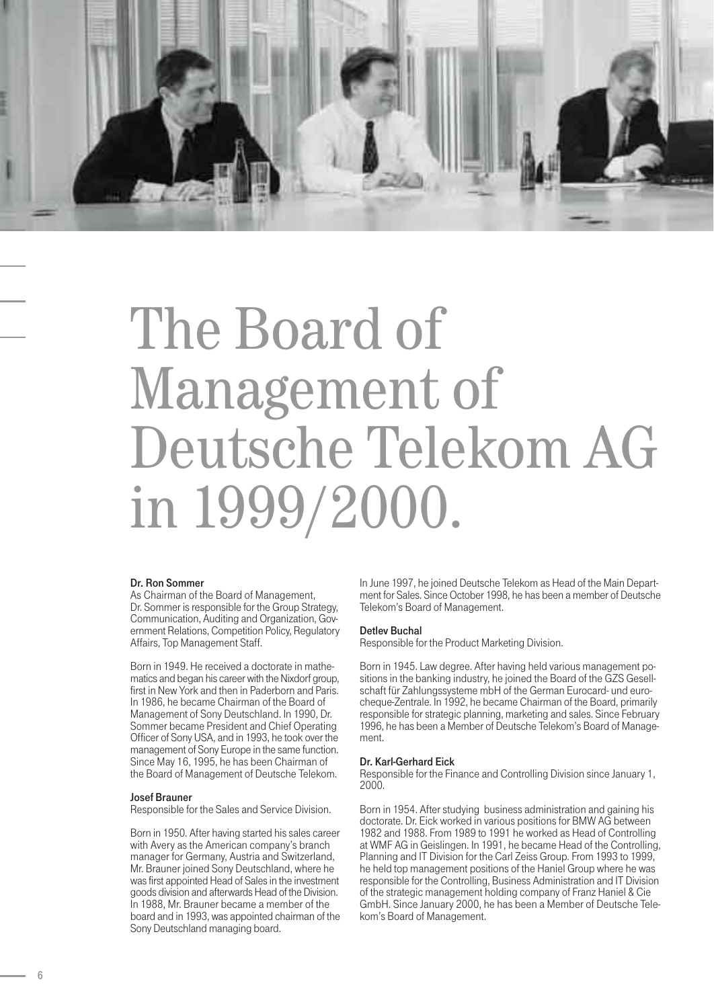

# The Board of Management of Deutsche Telekom AG in 1999/2000.

### Dr. Ron Sommer

As Chairman of the Board of Management, Dr. Sommer is responsible for the Group Strategy, Communication, Auditing and Organization, Government Relations, Competition Policy, Regulatory Affairs, Top Management Staff.

Born in 1949. He received a doctorate in mathematics and began his career with the Nixdorf group, first in New York and then in Paderborn and Paris. In 1986, he became Chairman of the Board of Management of Sony Deutschland. In 1990, Dr. Sommer became President and Chief Operating Officer of Sony USA, and in 1993, he took over the management of Sony Europe in the same function. Since May 16, 1995, he has been Chairman of the Board of Management of Deutsche Telekom.

## Josef Brauner

Responsible for the Sales and Service Division.

Born in 1950. After having started his sales career with Avery as the American company's branch manager for Germany, Austria and Switzerland, Mr. Brauner joined Sony Deutschland, where he was first appointed Head of Sales in the investment goods division and afterwards Head of the Division. In 1988, Mr. Brauner became a member of the board and in 1993, was appointed chairman of the Sony Deutschland managing board.

In June 1997, he joined Deutsche Telekom as Head of the Main Department for Sales. Since October 1998, he has been a member of Deutsche Telekom's Board of Management.

# Detlev Buchal

Responsible for the Product Marketing Division.

Born in 1945. Law degree. After having held various management positions in the banking industry, he joined the Board of the GZS Gesellschaft für Zahlungssysteme mbH of the German Eurocard- und eurocheque-Zentrale. In 1992, he became Chairman of the Board, primarily responsible for strategic planning, marketing and sales. Since February 1996, he has been a Member of Deutsche Telekom's Board of Management.

### Dr. Karl-Gerhard Eick

Responsible for the Finance and Controlling Division since January 1, 2000.

Born in 1954. After studying business administration and gaining his doctorate. Dr. Eick worked in various positions for BMW AG between 1982 and 1988. From 1989 to 1991 he worked as Head of Controlling at WMF AG in Geislingen. In 1991, he became Head of the Controlling, Planning and IT Division for the Carl Zeiss Group. From 1993 to 1999, he held top management positions of the Haniel Group where he was responsible for the Controlling, Business Administration and IT Division of the strategic management holding company of Franz Haniel & Cie GmbH. Since January 2000, he has been a Member of Deutsche Telekom's Board of Management.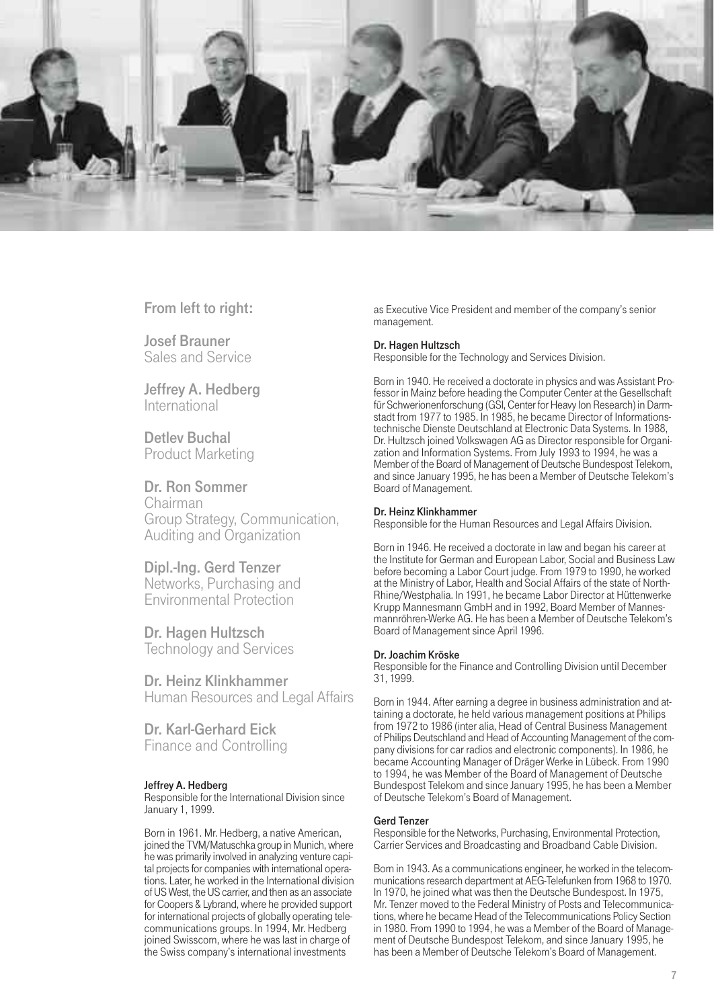

From left to right:

Josef Brauner Sales and Service

Jeffrey A. Hedberg International

Detlev Buchal Product Marketing

Dr. Ron Sommer Chairman Group Strategy, Communication, Auditing and Organization

Dipl.-Ing. Gerd Tenzer Networks, Purchasing and Environmental Protection

Dr. Hagen Hultzsch Technology and Services

Dr. Heinz Klinkhammer Human Resources and Legal Affairs

Dr. Karl-Gerhard Eick Finance and Controlling

# Jeffrey A. Hedberg

Responsible for the International Division since January 1, 1999.

Born in 1961. Mr. Hedberg, a native American, joined the TVM/Matuschka group in Munich, where he was primarily involved in analyzing venture capital projects for companies with international operations. Later, he worked in the International division of US West, the US carrier, and then as an associate for Coopers & Lybrand, where he provided support for international projects of globally operating telecommunications groups. In 1994, Mr. Hedberg joined Swisscom, where he was last in charge of the Swiss company's international investments

as Executive Vice President and member of the company's senior management.

## Dr. Hagen Hultzsch

Responsible for the Technology and Services Division.

Born in 1940. He received a doctorate in physics and was Assistant Professor in Mainz before heading the Computer Center at the Gesellschaft für Schwerionenforschung (GSI, Center for Heavy Ion Research) in Darmstadt from 1977 to 1985. In 1985, he became Director of Informationstechnische Dienste Deutschland at Electronic Data Systems. In 1988, Dr. Hultzsch joined Volkswagen AG as Director responsible for Organization and Information Systems. From July 1993 to 1994, he was a Member of the Board of Management of Deutsche Bundespost Telekom, and since January 1995, he has been a Member of Deutsche Telekom's Board of Management.

## Dr. Heinz Klinkhammer

Responsible for the Human Resources and Legal Affairs Division.

Born in 1946. He received a doctorate in law and began his career at the Institute for German and European Labor, Social and Business Law before becoming a Labor Court judge. From 1979 to 1990, he worked at the Ministry of Labor, Health and Social Affairs of the state of North-Rhine/Westphalia. In 1991, he became Labor Director at Hüttenwerke Krupp Mannesmann GmbH and in 1992, Board Member of Mannesmannröhren-Werke AG. He has been a Member of Deutsche Telekom's Board of Management since April 1996.

### Dr. Joachim Kröske

Responsible for the Finance and Controlling Division until December 31, 1999.

Born in 1944. After earning a degree in business administration and attaining a doctorate, he held various management positions at Philips from 1972 to 1986 (inter alia, Head of Central Business Management of Philips Deutschland and Head of Accounting Management of the company divisions for car radios and electronic components). In 1986, he became Accounting Manager of Dräger Werke in Lübeck. From 1990 to 1994, he was Member of the Board of Management of Deutsche Bundespost Telekom and since January 1995, he has been a Member of Deutsche Telekom's Board of Management.

# Gerd Tenzer

Responsible for the Networks, Purchasing, Environmental Protection, Carrier Services and Broadcasting and Broadband Cable Division.

Born in 1943. As a communications engineer, he worked in the telecommunications research department at AEG-Telefunken from 1968 to 1970. In 1970, he joined what was then the Deutsche Bundespost. In 1975, Mr. Tenzer moved to the Federal Ministry of Posts and Telecommunications, where he became Head of the Telecommunications Policy Section in 1980. From 1990 to 1994, he was a Member of the Board of Management of Deutsche Bundespost Telekom, and since January 1995, he has been a Member of Deutsche Telekom's Board of Management.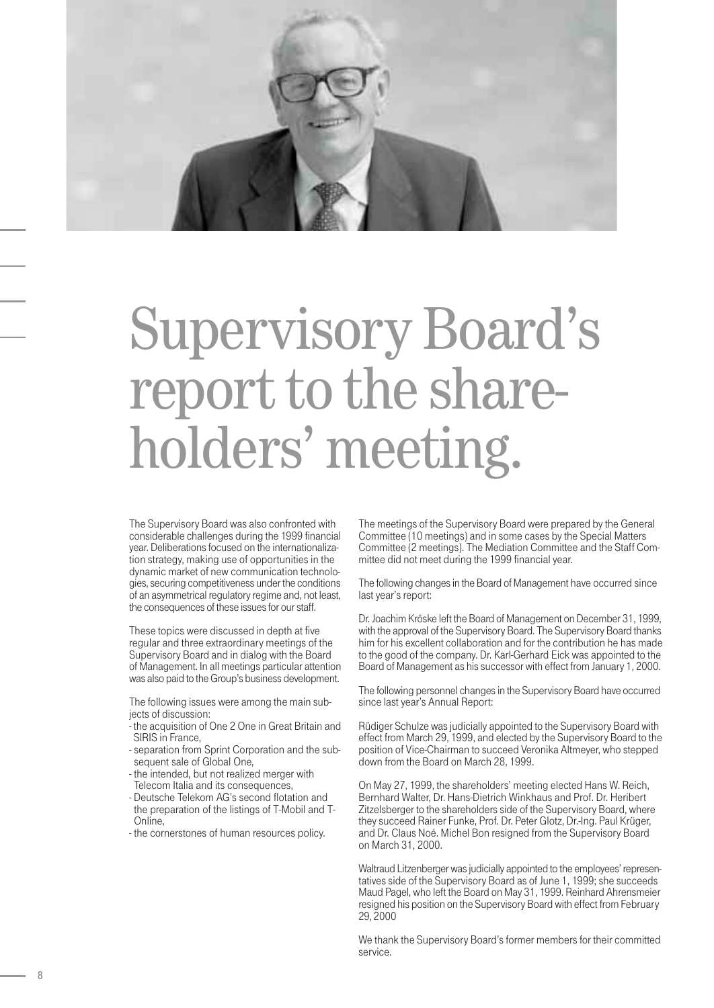

# Supervisory Board's report to the shareholders' meeting.

The Supervisory Board was also confronted with considerable challenges during the 1999 financial year. Deliberations focused on the internationalization strategy, making use of opportunities in the dynamic market of new communication technologies, securing competitiveness under the conditions of an asymmetrical regulatory regime and, not least, the consequences of these issues for our staff.

These topics were discussed in depth at five regular and three extraordinary meetings of the Supervisory Board and in dialog with the Board of Management. In all meetings particular attention was also paid to the Group's business development.

The following issues were among the main subjects of discussion:

- the acquisition of One 2 One in Great Britain and SIRIS in France,
- separation from Sprint Corporation and the subsequent sale of Global One,
- the intended, but not realized merger with Telecom Italia and its consequences,
- Deutsche Telekom AG's second flotation and the preparation of the listings of T-Mobil and T-Online,
- the cornerstones of human resources policy.

The meetings of the Supervisory Board were prepared by the General Committee (10 meetings) and in some cases by the Special Matters Committee (2 meetings). The Mediation Committee and the Staff Committee did not meet during the 1999 financial year.

The following changes in the Board of Management have occurred since last year's report:

Dr. Joachim Kröske left the Board of Management on December 31, 1999, with the approval of the Supervisory Board. The Supervisory Board thanks him for his excellent collaboration and for the contribution he has made to the good of the company. Dr. Karl-Gerhard Eick was appointed to the Board of Management as his successor with effect from January 1, 2000.

The following personnel changes in the Supervisory Board have occurred since last year's Annual Report:

Rüdiger Schulze was judicially appointed to the Supervisory Board with effect from March 29, 1999, and elected by the Supervisory Board to the position of Vice-Chairman to succeed Veronika Altmeyer, who stepped down from the Board on March 28, 1999.

On May 27, 1999, the shareholders' meeting elected Hans W. Reich, Bernhard Walter, Dr. Hans-Dietrich Winkhaus and Prof. Dr. Heribert Zitzelsberger to the shareholders side of the Supervisory Board, where they succeed Rainer Funke, Prof. Dr. Peter Glotz, Dr.-Ing. Paul Krüger, and Dr. Claus Noé. Michel Bon resigned from the Supervisory Board on March 31, 2000.

Waltraud Litzenberger was judicially appointed to the employees' representatives side of the Supervisory Board as of June 1, 1999; she succeeds Maud Pagel, who left the Board on May 31, 1999. Reinhard Ahrensmeier resigned his position on the Supervisory Board with effect from February 29, 2000

We thank the Supervisory Board's former members for their committed service.